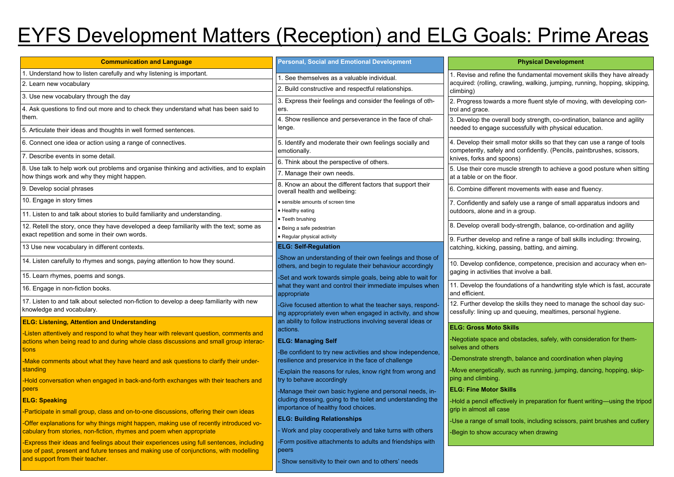| <b>Communication and Language</b>                                                                                                                                                                                     | <b>Personal, Social and Emotional Development</b>                                                                        |                                                        |
|-----------------------------------------------------------------------------------------------------------------------------------------------------------------------------------------------------------------------|--------------------------------------------------------------------------------------------------------------------------|--------------------------------------------------------|
| 1. Understand how to listen carefully and why listening is important.                                                                                                                                                 | 1. See themselves as a valuable individual.                                                                              | 1. Revise and refine the                               |
| 2. Learn new vocabulary                                                                                                                                                                                               | 2. Build constructive and respectful relationships.                                                                      | acquired: (rolling, crawli                             |
| 3. Use new vocabulary through the day                                                                                                                                                                                 | 3. Express their feelings and consider the feelings of oth-                                                              | climbing)<br>2. Progress towards a m                   |
| 4. Ask questions to find out more and to check they understand what has been said to<br>them.                                                                                                                         | ers.<br>4. Show resilience and perseverance in the face of chal-                                                         | trol and grace.<br>3. Develop the overall b            |
| 5. Articulate their ideas and thoughts in well formed sentences.                                                                                                                                                      | lenge.                                                                                                                   | needed to engage succe                                 |
| 6. Connect one idea or action using a range of connectives.                                                                                                                                                           | 5. Identify and moderate their own feelings socially and<br>emotionally.                                                 | 4. Develop their small m<br>competently, safely and    |
| 7. Describe events in some detail.                                                                                                                                                                                    |                                                                                                                          | knives, forks and spoon                                |
| 8. Use talk to help work out problems and organise thinking and activities, and to explain<br>how things work and why they might happen.                                                                              | 6. Think about the perspective of others.<br>7. Manage their own needs.                                                  | 5. Use their core muscle<br>at a table or on the floor |
| 9. Develop social phrases                                                                                                                                                                                             | 8. Know an about the different factors that support their<br>overall health and wellbeing:                               | 6. Combine different mo                                |
| 10. Engage in story times                                                                                                                                                                                             | • sensible amounts of screen time                                                                                        | 7. Confidently and safely                              |
| 11. Listen to and talk about stories to build familiarity and understanding.                                                                                                                                          | • Healthy eating                                                                                                         | outdoors, alone and in a                               |
| 12. Retell the story, once they have developed a deep familiarity with the text; some as                                                                                                                              | • Teeth brushing                                                                                                         | 8. Develop overall body-                               |
| exact repetition and some in their own words.                                                                                                                                                                         | · Being a safe pedestrian<br>• Regular physical activity                                                                 |                                                        |
| 13 Use new vocabulary in different contexts.                                                                                                                                                                          | <b>ELG: Self-Regulation</b>                                                                                              | 9. Further develop and r<br>catching, kicking, passir  |
| 14. Listen carefully to rhymes and songs, paying attention to how they sound.                                                                                                                                         | -Show an understanding of their own feelings and those of<br>others, and begin to regulate their behaviour accordingly   | 10. Develop confidence                                 |
| 15. Learn rhymes, poems and songs.                                                                                                                                                                                    | -Set and work towards simple goals, being able to wait for                                                               | gaging in activities that i                            |
| 16. Engage in non-fiction books.                                                                                                                                                                                      | what they want and control their immediate impulses when<br>appropriate                                                  | 11. Develop the foundat<br>and efficient.              |
| 17. Listen to and talk about selected non-fiction to develop a deep familiarity with new<br>knowledge and vocabulary.                                                                                                 | -Give focused attention to what the teacher says, respond-<br>ing appropriately even when engaged in activity, and show  | 12. Further develop the<br>cessfully: lining up and o  |
| <b>ELG: Listening, Attention and Understanding</b>                                                                                                                                                                    | an ability to follow instructions involving several ideas or<br>actions.                                                 | <b>ELG: Gross Moto Skill</b>                           |
| -Listen attentively and respond to what they hear with relevant question, comments and<br>actions when being read to and during whole class discussions and small group interac-                                      | <b>ELG: Managing Self</b>                                                                                                | -Negotiate space and of<br>selves and others           |
| tions                                                                                                                                                                                                                 | -Be confident to try new activities and show independence,                                                               | -Demonstrate strength,                                 |
| -Make comments about what they have heard and ask questions to clarify their under-<br>standing                                                                                                                       | resilience and preservice in the face of challenge<br>-Explain the reasons for rules, know right from wrong and          | -Move energetically, sud                               |
| -Hold conversation when engaged in back-and-forth exchanges with their teachers and                                                                                                                                   | try to behave accordingly                                                                                                | ping and climbing.                                     |
| peers                                                                                                                                                                                                                 | -Manage their own basic hygiene and personal needs, in-<br>cluding dressing, going to the toilet and understanding the   | <b>ELG: Fine Motor Skills</b>                          |
| <b>ELG: Speaking</b>                                                                                                                                                                                                  | importance of healthy food choices.                                                                                      | -Hold a pencil effectively<br>grip in almost all case  |
| -Participate in small group, class and on-to-one discussions, offering their own ideas                                                                                                                                | <b>ELG: Building Relationships</b>                                                                                       | -Use a range of small to                               |
| -Offer explanations for why things might happen, making use of recently introduced vo-<br>cabulary from stories, non-fiction, rhymes and poem when appropriate                                                        | - Work and play cooperatively and take turns with others                                                                 | -Begin to show accuracy                                |
| -Express their ideas and feelings about their experiences using full sentences, including<br>use of past, present and future tenses and making use of conjunctions, with modelling<br>and support from their teacher. | -Form positive attachments to adults and friendships with<br>peers<br>Show sensitivity to their own and to others' needs |                                                        |
|                                                                                                                                                                                                                       |                                                                                                                          |                                                        |

### **Physical Development**

he fundamental movement skills they have already wling, walking, jumping, running, hopping, skipping,

more fluent style of moving, with developing con-

body strength, co-ordination, balance and agility ccessfully with physical education.

motor skills so that they can use a range of tools nd confidently. (Pencils, paintbrushes, scissors, ons)

cle strength to achieve a good posture when sitting or .

movements with ease and fluency.

fely use a range of small apparatus indoors and n a group.

dy-strength, balance, co-ordination and agility

d refine a range of ball skills including: throwing, sing, batting, and aiming.

ce, competence, precision and accuracy when enat involve a ball.

dations of a handwriting style which is fast, accurate

12. The skills they need to manage the school day sucd queuing, mealtimes, personal hygiene.

#### **ELG: Gross Moto Skills**

obstacles, safely, with consideration for them-

balance and coordination when playing

uch as running, jumping, dancing, hopping, skip-

ely in preparation for fluent writing—using the tripod

tools, including scissors, paint brushes and cutlery

acy when drawing

# EYFS Development Matters (Reception) and ELG Goals: Prime Areas